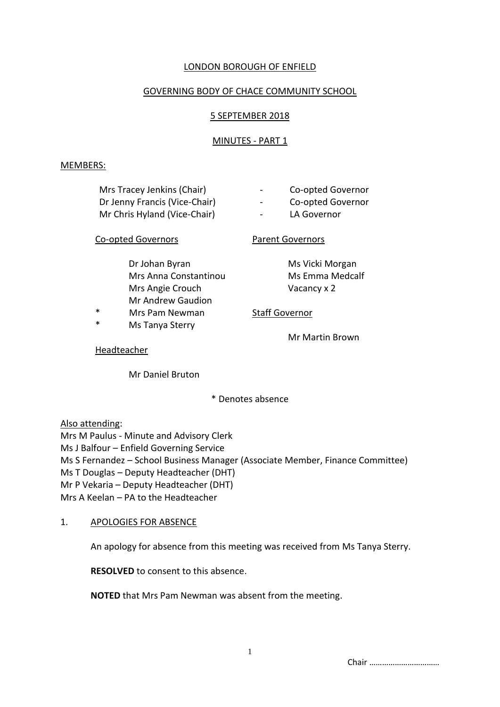# LONDON BOROUGH OF ENFIELD

## GOVERNING BODY OF CHACE COMMUNITY SCHOOL

## 5 SEPTEMBER 2018

## MINUTES - PART 1

#### MEMBERS:

| Mrs Tracey Jenkins (Chair)    | Co-opted Governor<br>$\sim$ |
|-------------------------------|-----------------------------|
| Dr Jenny Francis (Vice-Chair) | Co-opted Governor<br>$\sim$ |
| Mr Chris Hyland (Vice-Chair)  | LA Governor<br>$\sim$       |
| Co-opted Governors            | <b>Parent Governors</b>     |

Dr Johan Byran Ms Vicki Morgan Mrs Anna Constantinou Ms Emma Medcalf Mrs Angie Crouch Vacancy x 2 Mr Andrew Gaudion

- Mrs Pam Newman Staff Governor
- \* Ms Tanya Sterry

Mr Martin Brown

#### Headteacher

Mr Daniel Bruton

\* Denotes absence

Also attending:

Mrs M Paulus - Minute and Advisory Clerk Ms J Balfour – Enfield Governing Service Ms S Fernandez – School Business Manager (Associate Member, Finance Committee) Ms T Douglas – Deputy Headteacher (DHT) Mr P Vekaria – Deputy Headteacher (DHT) Mrs A Keelan – PA to the Headteacher

## 1. APOLOGIES FOR ABSENCE

An apology for absence from this meeting was received from Ms Tanya Sterry.

**RESOLVED** to consent to this absence.

**NOTED** that Mrs Pam Newman was absent from the meeting.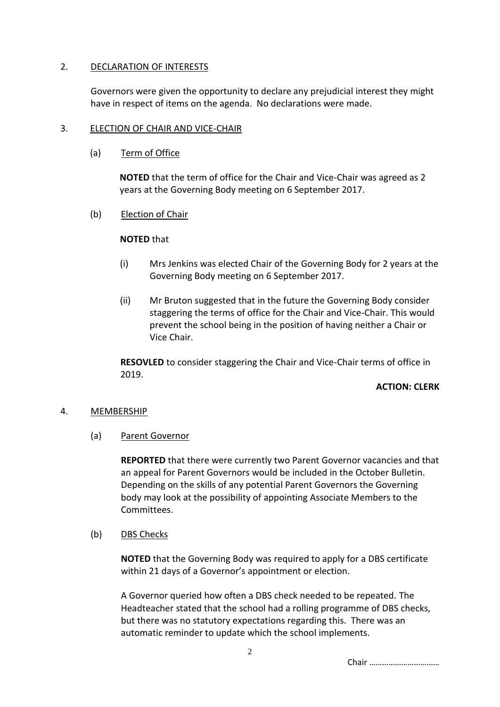## 2. DECLARATION OF INTERESTS

Governors were given the opportunity to declare any prejudicial interest they might have in respect of items on the agenda. No declarations were made.

# 3. ELECTION OF CHAIR AND VICE-CHAIR

(a) Term of Office

**NOTED** that the term of office for the Chair and Vice-Chair was agreed as 2 years at the Governing Body meeting on 6 September 2017.

(b) Election of Chair

## **NOTED** that

- (i) Mrs Jenkins was elected Chair of the Governing Body for 2 years at the Governing Body meeting on 6 September 2017.
- (ii) Mr Bruton suggested that in the future the Governing Body consider staggering the terms of office for the Chair and Vice-Chair. This would prevent the school being in the position of having neither a Chair or Vice Chair.

**RESOVLED** to consider staggering the Chair and Vice-Chair terms of office in 2019.

## **ACTION: CLERK**

## 4. MEMBERSHIP

(a) Parent Governor

**REPORTED** that there were currently two Parent Governor vacancies and that an appeal for Parent Governors would be included in the October Bulletin. Depending on the skills of any potential Parent Governors the Governing body may look at the possibility of appointing Associate Members to the Committees.

(b) DBS Checks

**NOTED** that the Governing Body was required to apply for a DBS certificate within 21 days of a Governor's appointment or election.

A Governor queried how often a DBS check needed to be repeated. The Headteacher stated that the school had a rolling programme of DBS checks, but there was no statutory expectations regarding this. There was an automatic reminder to update which the school implements.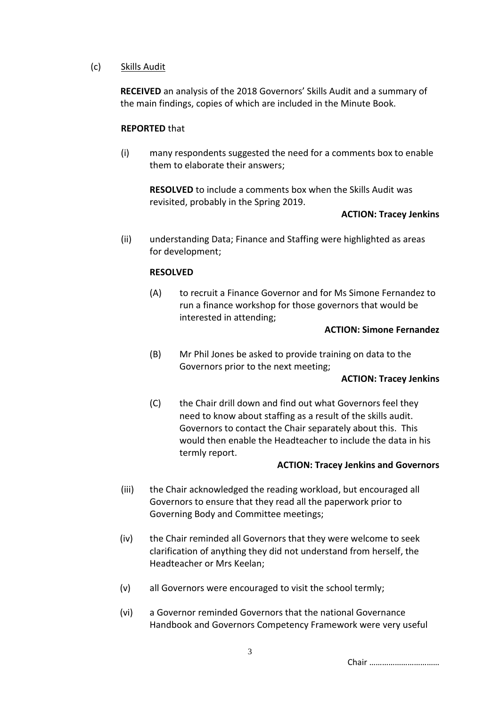## (c) Skills Audit

**RECEIVED** an analysis of the 2018 Governors' Skills Audit and a summary of the main findings, copies of which are included in the Minute Book.

## **REPORTED** that

(i) many respondents suggested the need for a comments box to enable them to elaborate their answers;

**RESOLVED** to include a comments box when the Skills Audit was revisited, probably in the Spring 2019.

## **ACTION: Tracey Jenkins**

(ii) understanding Data; Finance and Staffing were highlighted as areas for development;

## **RESOLVED**

(A) to recruit a Finance Governor and for Ms Simone Fernandez to run a finance workshop for those governors that would be interested in attending;

#### **ACTION: Simone Fernandez**

(B) Mr Phil Jones be asked to provide training on data to the Governors prior to the next meeting;

## **ACTION: Tracey Jenkins**

(C) the Chair drill down and find out what Governors feel they need to know about staffing as a result of the skills audit. Governors to contact the Chair separately about this. This would then enable the Headteacher to include the data in his termly report.

## **ACTION: Tracey Jenkins and Governors**

- (iii) the Chair acknowledged the reading workload, but encouraged all Governors to ensure that they read all the paperwork prior to Governing Body and Committee meetings;
- (iv) the Chair reminded all Governors that they were welcome to seek clarification of anything they did not understand from herself, the Headteacher or Mrs Keelan;
- (v) all Governors were encouraged to visit the school termly;
- (vi) a Governor reminded Governors that the national Governance Handbook and Governors Competency Framework were very useful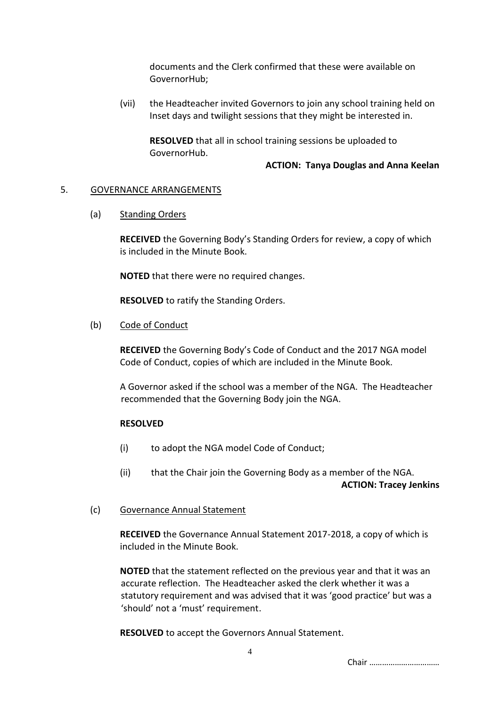documents and the Clerk confirmed that these were available on GovernorHub;

(vii) the Headteacher invited Governors to join any school training held on Inset days and twilight sessions that they might be interested in.

**RESOLVED** that all in school training sessions be uploaded to GovernorHub.

#### **ACTION: Tanya Douglas and Anna Keelan**

#### 5. GOVERNANCE ARRANGEMENTS

(a) Standing Orders

**RECEIVED** the Governing Body's Standing Orders for review, a copy of which is included in the Minute Book.

**NOTED** that there were no required changes.

**RESOLVED** to ratify the Standing Orders.

#### (b) Code of Conduct

**RECEIVED** the Governing Body's Code of Conduct and the 2017 NGA model Code of Conduct, copies of which are included in the Minute Book.

A Governor asked if the school was a member of the NGA. The Headteacher recommended that the Governing Body join the NGA.

## **RESOLVED**

- (i) to adopt the NGA model Code of Conduct;
- (ii) that the Chair join the Governing Body as a member of the NGA. **ACTION: Tracey Jenkins**

#### (c) Governance Annual Statement

**RECEIVED** the Governance Annual Statement 2017-2018, a copy of which is included in the Minute Book.

**NOTED** that the statement reflected on the previous year and that it was an accurate reflection. The Headteacher asked the clerk whether it was a statutory requirement and was advised that it was 'good practice' but was a 'should' not a 'must' requirement.

**RESOLVED** to accept the Governors Annual Statement.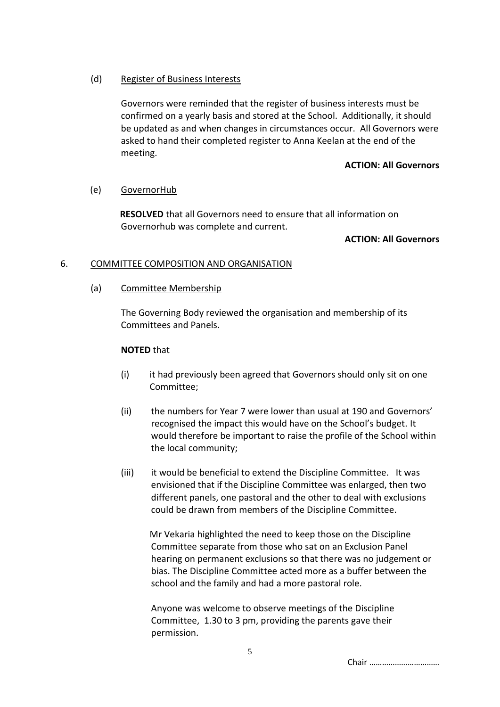## (d) Register of Business Interests

Governors were reminded that the register of business interests must be confirmed on a yearly basis and stored at the School. Additionally, it should be updated as and when changes in circumstances occur. All Governors were asked to hand their completed register to Anna Keelan at the end of the meeting.

#### **ACTION: All Governors**

## (e) GovernorHub

**RESOLVED** that all Governors need to ensure that all information on Governorhub was complete and current.

## **ACTION: All Governors**

## 6. COMMITTEE COMPOSITION AND ORGANISATION

## (a) Committee Membership

The Governing Body reviewed the organisation and membership of its Committees and Panels.

#### **NOTED** that

- (i) it had previously been agreed that Governors should only sit on one Committee;
- (ii) the numbers for Year 7 were lower than usual at 190 and Governors' recognised the impact this would have on the School's budget. It would therefore be important to raise the profile of the School within the local community;
- (iii) it would be beneficial to extend the Discipline Committee. It was envisioned that if the Discipline Committee was enlarged, then two different panels, one pastoral and the other to deal with exclusions could be drawn from members of the Discipline Committee.

Mr Vekaria highlighted the need to keep those on the Discipline Committee separate from those who sat on an Exclusion Panel hearing on permanent exclusions so that there was no judgement or bias. The Discipline Committee acted more as a buffer between the school and the family and had a more pastoral role.

Anyone was welcome to observe meetings of the Discipline Committee, 1.30 to 3 pm, providing the parents gave their permission.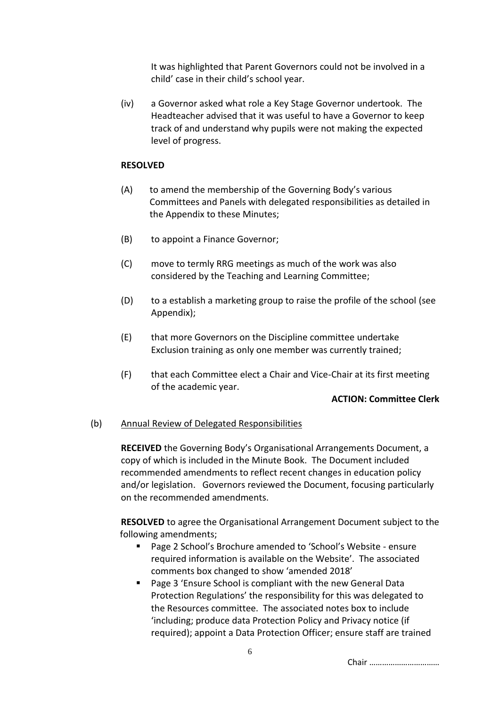It was highlighted that Parent Governors could not be involved in a child' case in their child's school year.

(iv) a Governor asked what role a Key Stage Governor undertook. The Headteacher advised that it was useful to have a Governor to keep track of and understand why pupils were not making the expected level of progress.

#### **RESOLVED**

- (A) to amend the membership of the Governing Body's various Committees and Panels with delegated responsibilities as detailed in the Appendix to these Minutes;
- (B) to appoint a Finance Governor;
- (C) move to termly RRG meetings as much of the work was also considered by the Teaching and Learning Committee;
- (D) to a establish a marketing group to raise the profile of the school (see Appendix);
- (E) that more Governors on the Discipline committee undertake Exclusion training as only one member was currently trained;
- (F) that each Committee elect a Chair and Vice-Chair at its first meeting of the academic year.

#### **ACTION: Committee Clerk**

#### (b) Annual Review of Delegated Responsibilities

**RECEIVED** the Governing Body's Organisational Arrangements Document, a copy of which is included in the Minute Book. The Document included recommended amendments to reflect recent changes in education policy and/or legislation. Governors reviewed the Document, focusing particularly on the recommended amendments.

**RESOLVED** to agree the Organisational Arrangement Document subject to the following amendments;

- Page 2 School's Brochure amended to 'School's Website ensure required information is available on the Website'. The associated comments box changed to show 'amended 2018'
- Page 3 'Ensure School is compliant with the new General Data Protection Regulations' the responsibility for this was delegated to the Resources committee. The associated notes box to include 'including; produce data Protection Policy and Privacy notice (if required); appoint a Data Protection Officer; ensure staff are trained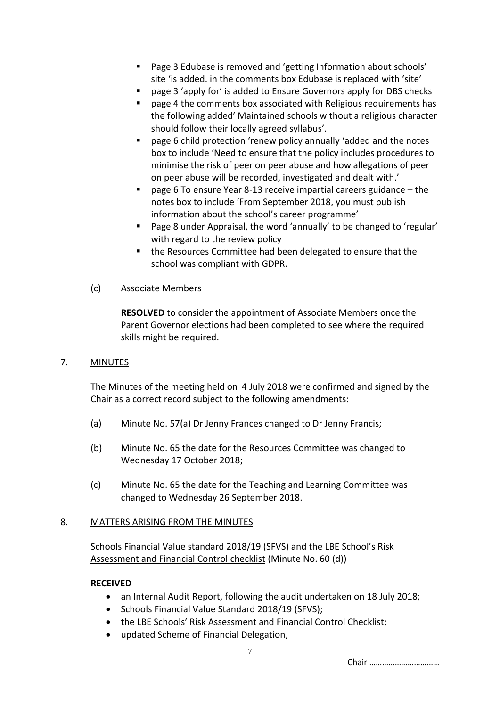- Page 3 Edubase is removed and 'getting Information about schools' site 'is added. in the comments box Edubase is replaced with 'site'
- page 3 'apply for' is added to Ensure Governors apply for DBS checks
- page 4 the comments box associated with Religious requirements has the following added' Maintained schools without a religious character should follow their locally agreed syllabus'.
- page 6 child protection 'renew policy annually 'added and the notes box to include 'Need to ensure that the policy includes procedures to minimise the risk of peer on peer abuse and how allegations of peer on peer abuse will be recorded, investigated and dealt with.'
- page 6 To ensure Year 8-13 receive impartial careers guidance the notes box to include 'From September 2018, you must publish information about the school's career programme'
- Page 8 under Appraisal, the word 'annually' to be changed to 'regular' with regard to the review policy
- the Resources Committee had been delegated to ensure that the school was compliant with GDPR.

## (c) Associate Members

**RESOLVED** to consider the appointment of Associate Members once the Parent Governor elections had been completed to see where the required skills might be required.

## 7. MINUTES

The Minutes of the meeting held on 4 July 2018 were confirmed and signed by the Chair as a correct record subject to the following amendments:

- (a) Minute No. 57(a) Dr Jenny Frances changed to Dr Jenny Francis;
- (b) Minute No. 65 the date for the Resources Committee was changed to Wednesday 17 October 2018;
- (c) Minute No. 65 the date for the Teaching and Learning Committee was changed to Wednesday 26 September 2018.

# 8. MATTERS ARISING FROM THE MINUTES

Schools Financial Value standard 2018/19 (SFVS) and the LBE School's Risk Assessment and Financial Control checklist (Minute No. 60 (d))

## **RECEIVED**

- an Internal Audit Report, following the audit undertaken on 18 July 2018;
- Schools Financial Value Standard 2018/19 (SFVS);
- the LBE Schools' Risk Assessment and Financial Control Checklist;
- updated Scheme of Financial Delegation,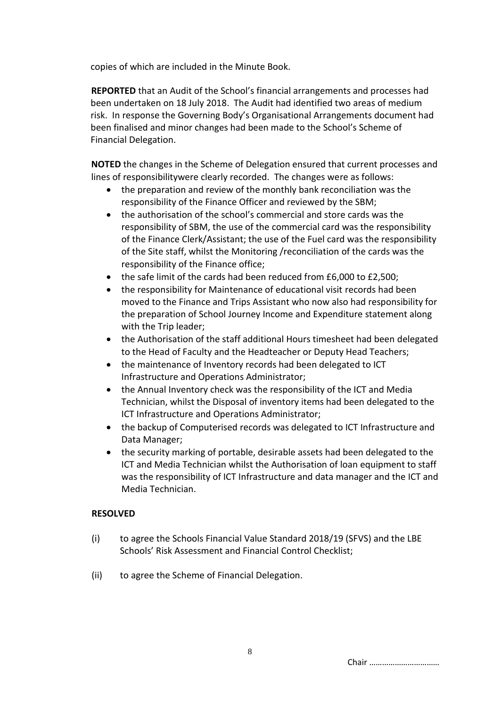copies of which are included in the Minute Book.

**REPORTED** that an Audit of the School's financial arrangements and processes had been undertaken on 18 July 2018. The Audit had identified two areas of medium risk. In response the Governing Body's Organisational Arrangements document had been finalised and minor changes had been made to the School's Scheme of Financial Delegation.

**NOTED** the changes in the Scheme of Delegation ensured that current processes and lines of responsibilitywere clearly recorded. The changes were as follows:

- the preparation and review of the monthly bank reconciliation was the responsibility of the Finance Officer and reviewed by the SBM;
- the authorisation of the school's commercial and store cards was the responsibility of SBM, the use of the commercial card was the responsibility of the Finance Clerk/Assistant; the use of the Fuel card was the responsibility of the Site staff, whilst the Monitoring /reconciliation of the cards was the responsibility of the Finance office;
- the safe limit of the cards had been reduced from £6,000 to £2,500;
- the responsibility for Maintenance of educational visit records had been moved to the Finance and Trips Assistant who now also had responsibility for the preparation of School Journey Income and Expenditure statement along with the Trip leader;
- the Authorisation of the staff additional Hours timesheet had been delegated to the Head of Faculty and the Headteacher or Deputy Head Teachers;
- the maintenance of Inventory records had been delegated to ICT Infrastructure and Operations Administrator;
- the Annual Inventory check was the responsibility of the ICT and Media Technician, whilst the Disposal of inventory items had been delegated to the ICT Infrastructure and Operations Administrator;
- the backup of Computerised records was delegated to ICT Infrastructure and Data Manager;
- the security marking of portable, desirable assets had been delegated to the ICT and Media Technician whilst the Authorisation of loan equipment to staff was the responsibility of ICT Infrastructure and data manager and the ICT and Media Technician.

# **RESOLVED**

- (i) to agree the Schools Financial Value Standard 2018/19 (SFVS) and the LBE Schools' Risk Assessment and Financial Control Checklist;
- (ii) to agree the Scheme of Financial Delegation.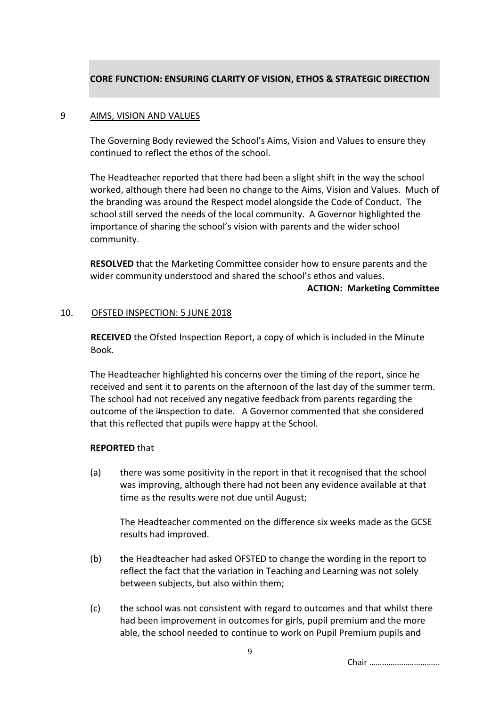# **CORE FUNCTION: ENSURING CLARITY OF VISION, ETHOS & STRATEGIC DIRECTION**

#### 9 AIMS, VISION AND VALUES

The Governing Body reviewed the School's Aims, Vision and Values to ensure they continued to reflect the ethos of the school.

The Headteacher reported that there had been a slight shift in the way the school worked, although there had been no change to the Aims, Vision and Values. Much of the branding was around the Respect model alongside the Code of Conduct. The school still served the needs of the local community. A Governor highlighted the importance of sharing the school's vision with parents and the wider school community.

**RESOLVED** that the Marketing Committee consider how to ensure parents and the wider community understood and shared the school's ethos and values.

#### **ACTION: Marketing Committee**

#### 10. OFSTED INSPECTION: 5 JUNE 2018

**RECEIVED** the Ofsted Inspection Report, a copy of which is included in the Minute Book.

The Headteacher highlighted his concerns over the timing of the report, since he received and sent it to parents on the afternoon of the last day of the summer term. The school had not received any negative feedback from parents regarding the outcome of the i<del>l</del>nspection to date. A Governor commented that she considered that this reflected that pupils were happy at the School.

#### **REPORTED** that

(a) there was some positivity in the report in that it recognised that the school was improving, although there had not been any evidence available at that time as the results were not due until August;

The Headteacher commented on the difference six weeks made as the GCSE results had improved.

- (b) the Headteacher had asked OFSTED to change the wording in the report to reflect the fact that the variation in Teaching and Learning was not solely between subjects, but also within them;
- (c) the school was not consistent with regard to outcomes and that whilst there had been improvement in outcomes for girls, pupil premium and the more able, the school needed to continue to work on Pupil Premium pupils and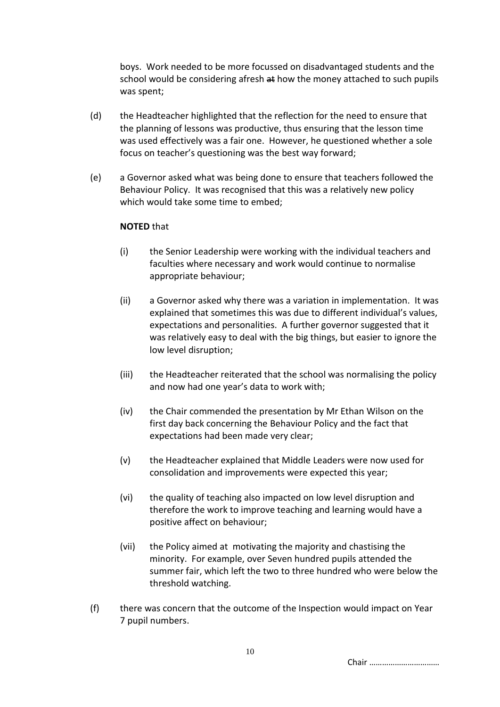boys. Work needed to be more focussed on disadvantaged students and the school would be considering afresh at how the money attached to such pupils was spent;

- (d) the Headteacher highlighted that the reflection for the need to ensure that the planning of lessons was productive, thus ensuring that the lesson time was used effectively was a fair one. However, he questioned whether a sole focus on teacher's questioning was the best way forward;
- (e) a Governor asked what was being done to ensure that teachers followed the Behaviour Policy. It was recognised that this was a relatively new policy which would take some time to embed;

#### **NOTED** that

- (i) the Senior Leadership were working with the individual teachers and faculties where necessary and work would continue to normalise appropriate behaviour;
- (ii) a Governor asked why there was a variation in implementation. It was explained that sometimes this was due to different individual's values, expectations and personalities. A further governor suggested that it was relatively easy to deal with the big things, but easier to ignore the low level disruption;
- (iii) the Headteacher reiterated that the school was normalising the policy and now had one year's data to work with;
- (iv) the Chair commended the presentation by Mr Ethan Wilson on the first day back concerning the Behaviour Policy and the fact that expectations had been made very clear;
- (v) the Headteacher explained that Middle Leaders were now used for consolidation and improvements were expected this year;
- (vi) the quality of teaching also impacted on low level disruption and therefore the work to improve teaching and learning would have a positive affect on behaviour;
- (vii) the Policy aimed at motivating the majority and chastising the minority. For example, over Seven hundred pupils attended the summer fair, which left the two to three hundred who were below the threshold watching.
- (f) there was concern that the outcome of the Inspection would impact on Year 7 pupil numbers.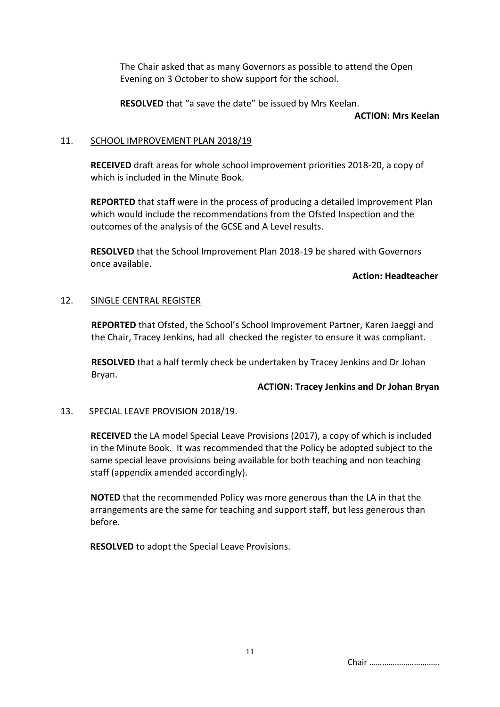The Chair asked that as many Governors as possible to attend the Open Evening on 3 October to show support for the school.

**RESOLVED** that "a save the date" be issued by Mrs Keelan.

#### **ACTION: Mrs Keelan**

## 11. SCHOOL IMPROVEMENT PLAN 2018/19

**RECEIVED** draft areas for whole school improvement priorities 2018-20, a copy of which is included in the Minute Book.

**REPORTED** that staff were in the process of producing a detailed Improvement Plan which would include the recommendations from the Ofsted Inspection and the outcomes of the analysis of the GCSE and A Level results.

**RESOLVED** that the School Improvement Plan 2018-19 be shared with Governors once available.

#### **Action: Headteacher**

## 12. SINGLE CENTRAL REGISTER

**REPORTED** that Ofsted, the School's School Improvement Partner, Karen Jaeggi and the Chair, Tracey Jenkins, had all checked the register to ensure it was compliant.

**RESOLVED** that a half termly check be undertaken by Tracey Jenkins and Dr Johan Bryan.

## **ACTION: Tracey Jenkins and Dr Johan Bryan**

## 13. SPECIAL LEAVE PROVISION 2018/19.

**RECEIVED** the LA model Special Leave Provisions (2017), a copy of which is included in the Minute Book. It was recommended that the Policy be adopted subject to the same special leave provisions being available for both teaching and non teaching staff (appendix amended accordingly).

**NOTED** that the recommended Policy was more generous than the LA in that the arrangements are the same for teaching and support staff, but less generous than before.

**RESOLVED** to adopt the Special Leave Provisions.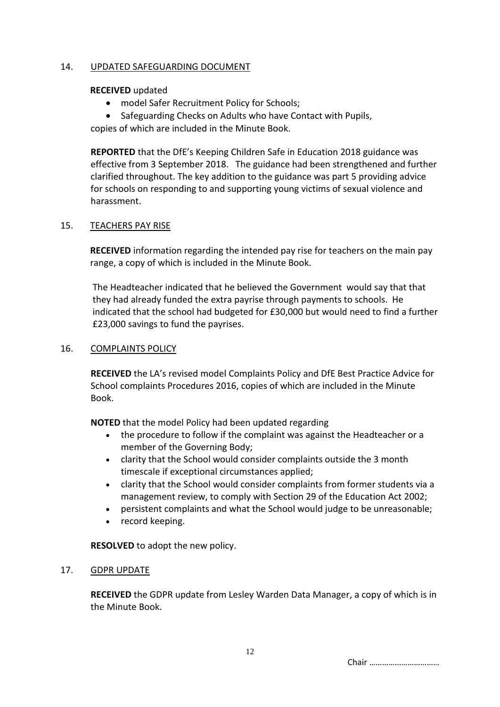## 14. UPDATED SAFEGUARDING DOCUMENT

## **RECEIVED** updated

- model Safer Recruitment Policy for Schools;
- Safeguarding Checks on Adults who have Contact with Pupils,

copies of which are included in the Minute Book.

**REPORTED** that the DfE's Keeping Children Safe in Education 2018 guidance was effective from 3 September 2018. The guidance had been strengthened and further clarified throughout. The key addition to the guidance was part 5 providing advice for schools on responding to and supporting young victims of sexual violence and harassment.

## 15. TEACHERS PAY RISE

**RECEIVED** information regarding the intended pay rise for teachers on the main pay range, a copy of which is included in the Minute Book.

The Headteacher indicated that he believed the Government would say that that they had already funded the extra payrise through payments to schools. He indicated that the school had budgeted for £30,000 but would need to find a further £23,000 savings to fund the payrises.

## 16. COMPLAINTS POLICY

**RECEIVED** the LA's revised model Complaints Policy and DfE Best Practice Advice for School complaints Procedures 2016, copies of which are included in the Minute Book.

**NOTED** that the model Policy had been updated regarding

- the procedure to follow if the complaint was against the Headteacher or a member of the Governing Body;
- clarity that the School would consider complaints outside the 3 month timescale if exceptional circumstances applied;
- clarity that the School would consider complaints from former students via a management review, to comply with Section 29 of the Education Act 2002;
- persistent complaints and what the School would judge to be unreasonable;
- record keeping.

**RESOLVED** to adopt the new policy.

## 17. GDPR UPDATE

**RECEIVED** the GDPR update from Lesley Warden Data Manager, a copy of which is in the Minute Book.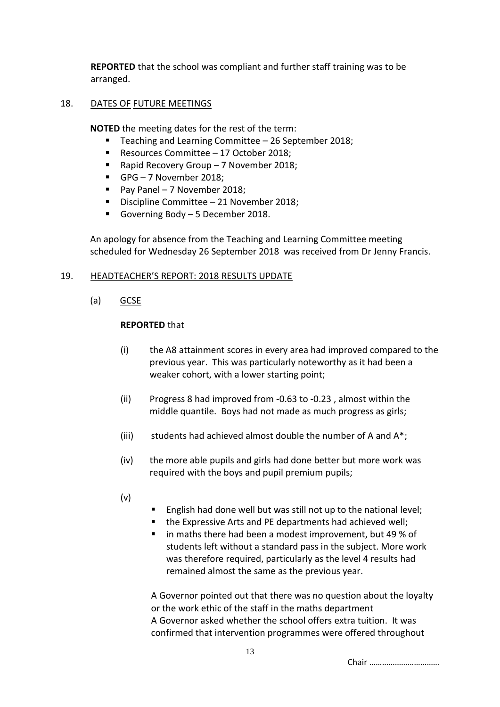**REPORTED** that the school was compliant and further staff training was to be arranged.

## 18. DATES OF FUTURE MEETINGS

**NOTED** the meeting dates for the rest of the term:

- Teaching and Learning Committee  $-26$  September 2018;
- Resources Committee 17 October 2018:
- Rapid Recovery Group 7 November 2018;
- GPG 7 November 2018;
- Pay Panel 7 November 2018;
- Discipline Committee 21 November 2018;
- Governing Body 5 December 2018.

An apology for absence from the Teaching and Learning Committee meeting scheduled for Wednesday 26 September 2018 was received from Dr Jenny Francis.

# 19. HEADTEACHER'S REPORT: 2018 RESULTS UPDATE

(a) GCSE

## **REPORTED** that

- (i) the A8 attainment scores in every area had improved compared to the previous year. This was particularly noteworthy as it had been a weaker cohort, with a lower starting point;
- (ii) Progress 8 had improved from -0.63 to -0.23 , almost within the middle quantile. Boys had not made as much progress as girls;
- (iii) students had achieved almost double the number of A and A\*;
- (iv) the more able pupils and girls had done better but more work was required with the boys and pupil premium pupils;
- (v)
- English had done well but was still not up to the national level;
- the Expressive Arts and PE departments had achieved well:
- in maths there had been a modest improvement, but 49 % of students left without a standard pass in the subject. More work was therefore required, particularly as the level 4 results had remained almost the same as the previous year.

A Governor pointed out that there was no question about the loyalty or the work ethic of the staff in the maths department A Governor asked whether the school offers extra tuition. It was confirmed that intervention programmes were offered throughout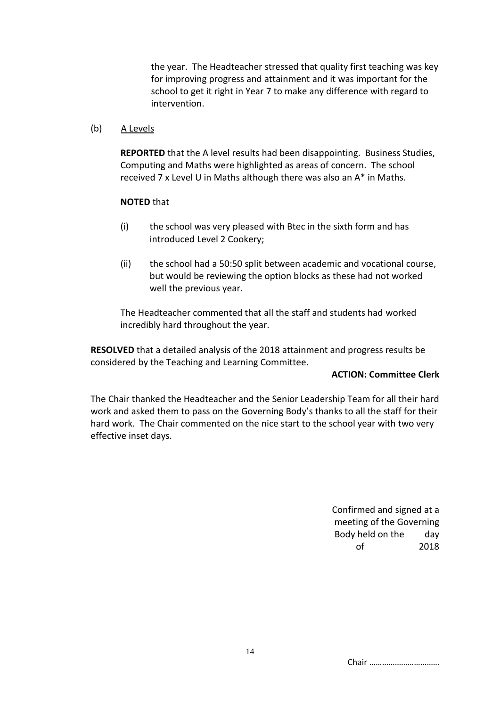the year. The Headteacher stressed that quality first teaching was key for improving progress and attainment and it was important for the school to get it right in Year 7 to make any difference with regard to intervention.

(b) A Levels

**REPORTED** that the A level results had been disappointing. Business Studies, Computing and Maths were highlighted as areas of concern. The school received 7 x Level U in Maths although there was also an A\* in Maths.

#### **NOTED** that

- (i) the school was very pleased with Btec in the sixth form and has introduced Level 2 Cookery;
- (ii) the school had a 50:50 split between academic and vocational course, but would be reviewing the option blocks as these had not worked well the previous year.

The Headteacher commented that all the staff and students had worked incredibly hard throughout the year.

**RESOLVED** that a detailed analysis of the 2018 attainment and progress results be considered by the Teaching and Learning Committee.

#### **ACTION: Committee Clerk**

The Chair thanked the Headteacher and the Senior Leadership Team for all their hard work and asked them to pass on the Governing Body's thanks to all the staff for their hard work. The Chair commented on the nice start to the school year with two very effective inset days.

> Confirmed and signed at a meeting of the Governing Body held on the day of 2018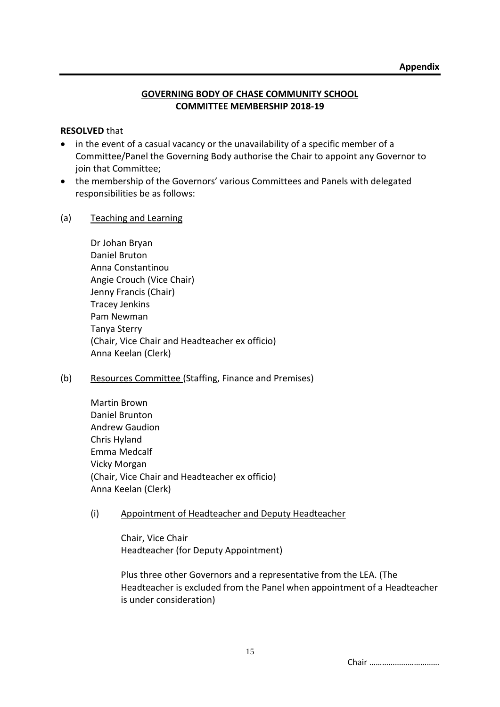## **GOVERNING BODY OF CHASE COMMUNITY SCHOOL COMMITTEE MEMBERSHIP 2018-19**

## **RESOLVED** that

- in the event of a casual vacancy or the unavailability of a specific member of a Committee/Panel the Governing Body authorise the Chair to appoint any Governor to join that Committee;
- the membership of the Governors' various Committees and Panels with delegated responsibilities be as follows:

## (a) Teaching and Learning

| Dr Johan Bryan                                 |
|------------------------------------------------|
| Daniel Bruton                                  |
| Anna Constantinou                              |
| Angie Crouch (Vice Chair)                      |
| Jenny Francis (Chair)                          |
| <b>Tracey Jenkins</b>                          |
| Pam Newman                                     |
| Tanya Sterry                                   |
| (Chair, Vice Chair and Headteacher ex officio) |
| Anna Keelan (Clerk)                            |

# (b) Resources Committee (Staffing, Finance and Premises)

Martin Brown Daniel Brunton Andrew Gaudion Chris Hyland Emma Medcalf Vicky Morgan (Chair, Vice Chair and Headteacher ex officio) Anna Keelan (Clerk)

# (i) Appointment of Headteacher and Deputy Headteacher

Chair, Vice Chair Headteacher (for Deputy Appointment)

Plus three other Governors and a representative from the LEA. (The Headteacher is excluded from the Panel when appointment of a Headteacher is under consideration)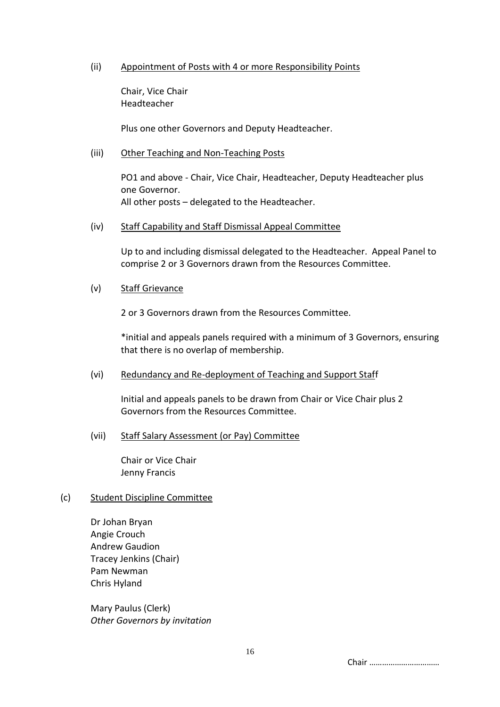## (ii) Appointment of Posts with 4 or more Responsibility Points

Chair, Vice Chair Headteacher

Plus one other Governors and Deputy Headteacher.

## (iii) Other Teaching and Non-Teaching Posts

PO1 and above - Chair, Vice Chair, Headteacher, Deputy Headteacher plus one Governor. All other posts – delegated to the Headteacher.

## (iv) Staff Capability and Staff Dismissal Appeal Committee

Up to and including dismissal delegated to the Headteacher. Appeal Panel to comprise 2 or 3 Governors drawn from the Resources Committee.

## (v) Staff Grievance

2 or 3 Governors drawn from the Resources Committee.

\*initial and appeals panels required with a minimum of 3 Governors, ensuring that there is no overlap of membership.

## (vi) Redundancy and Re-deployment of Teaching and Support Staff

Initial and appeals panels to be drawn from Chair or Vice Chair plus 2 Governors from the Resources Committee.

# (vii) Staff Salary Assessment (or Pay) Committee

Chair or Vice Chair Jenny Francis

## (c) Student Discipline Committee

Dr Johan Bryan Angie Crouch Andrew Gaudion Tracey Jenkins (Chair) Pam Newman Chris Hyland

Mary Paulus (Clerk) *Other Governors by invitation*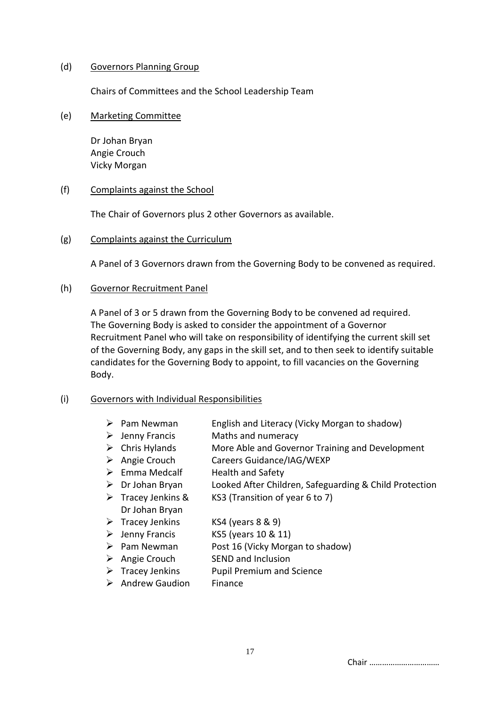## (d) Governors Planning Group

Chairs of Committees and the School Leadership Team

(e) Marketing Committee

Dr Johan Bryan Angie Crouch Vicky Morgan

## (f) Complaints against the School

The Chair of Governors plus 2 other Governors as available.

(g) Complaints against the Curriculum

A Panel of 3 Governors drawn from the Governing Body to be convened as required.

## (h) Governor Recruitment Panel

A Panel of 3 or 5 drawn from the Governing Body to be convened ad required. The Governing Body is asked to consider the appointment of a Governor Recruitment Panel who will take on responsibility of identifying the current skill set of the Governing Body, any gaps in the skill set, and to then seek to identify suitable candidates for the Governing Body to appoint, to fill vacancies on the Governing Body.

# (i) Governors with Individual Responsibilities

- ➢ Pam Newman English and Literacy (Vicky Morgan to shadow)
- ➢ Jenny Francis Maths and numeracy
- ➢ Chris Hylands More Able and Governor Training and Development
- ➢ Angie Crouch Careers Guidance/IAG/WEXP
- ➢ Emma Medcalf Health and Safety
- ➢ Dr Johan Bryan Looked After Children, Safeguarding & Child Protection  $\triangleright$  Tracey Jenkins & KS3 (Transition of year 6 to 7)
- Dr Johan Bryan  $\triangleright$  Tracey Jenkins KS4 (years 8 & 9)
- $\triangleright$  Jenny Francis KS5 (years 10 & 11)
- ➢ Pam Newman Post 16 (Vicky Morgan to shadow)
- ➢ Angie Crouch SEND and Inclusion
- $\triangleright$  Tracey Jenkins Pupil Premium and Science
- ➢ Andrew Gaudion Finance